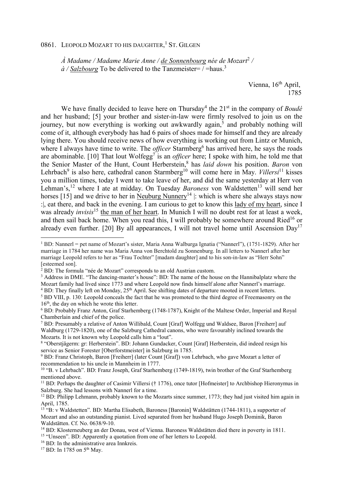## 0861. LEOPOLD MOZART TO HIS DAUGHTER,<sup>1</sup> ST. GILGEN

*À Madame / Madame Marie Anne / <u>de Sonnenbourg</u> née de Mozart<sup>2</sup> /*  $\hat{a}$  / Salzbourg To be delivered to the Tanzmeister=  $\hat{b}$  = haus.<sup>3</sup>

> Vienna, 16<sup>th</sup> April, 1785

We have finally decided to leave here on Thursday<sup>4</sup> the 21<sup>st</sup> in the company of *Boudé* and her husband; [5] your brother and sister-in-law were firmly resolved to join us on the journey, but now everything is working out awkwardly again,<sup>5</sup> and probably nothing will come of it, although everybody has had 6 pairs of shoes made for himself and they are already lying there. You should receive news of how everything is working out from Lintz or Munich, where I always have time to write. The *officer* Starmberg<sup>6</sup> has arrived here, he says the roads are abominable. [10] That lout Wolfegg<sup>7</sup> is an *officer* here; I spoke with him, he told me that the Senior Master of the Hunt, Count Herberstein,<sup>8</sup> has *laid down* his position. *Baron* von Lehrbach<sup>9</sup> is also here, cathedral canon Starmberg<sup>10</sup> will come here in May. *Villersi*<sup>11</sup> kisses you a million times, today I went to take leave of her, and did the same yesterday at Herr von Lehman's,<sup>12</sup> where I ate at midday. On Tuesday *Baroness* von Waldstetten<sup>13</sup> will send her horses [15] and we drive to her in Neuburg Nunnery<sup>14</sup> |: which is where she always stays now :|, eat there, and back in the evening. I am curious to get to know this lady of my heart, since I was already *invisis*<sup>15</sup> the man of her heart. In Munich I will no doubt rest for at least a week, and then sail back home. When you read this, I will probably be somewhere around Ried<sup>16</sup> or already even further. [20] By all appearances, I will not travel home until Ascension  $Dav^{17}$ 

 $\overline{a}$ 

<sup>1</sup> BD: Nannerl = pet name of Mozart's sister, Maria Anna Walburga Ignatia ("Nannerl"), (1751-1829). After her marriage in 1784 her name was Maria Anna von Berchtold zu Sonnenburg. In all letters to Nannerl after her marriage Leopold refers to her as "Frau Tochter" [madam daughter] and to his son-in-law as "Herr Sohn" [esteemed son].

<sup>&</sup>lt;sup>2</sup> BD: The formula "née de Mozart" corresponds to an old Austrian custom.

<sup>&</sup>lt;sup>3</sup> Address in DME. "The dancing-master's house": BD: The name of the house on the Hannibalplatz where the Mozart family had lived since 1773 and where Leopold now finds himself alone after Nannerl's marriage. <sup>4</sup> BD: They finally left on Monday, 25<sup>th</sup> April. See shifting dates of departure mooted in recent letters.

<sup>&</sup>lt;sup>5</sup> BD VIII, p. 130: Leopold conceals the fact that he was promoted to the third degree of Freemasonry on the  $16<sup>th</sup>$ , the day on which he wrote this letter.

<sup>&</sup>lt;sup>6</sup> BD: Probably Franz Anton, Graf Starhemberg (1748-1787), Knight of the Maltese Order, Imperial and Royal Chamberlain and chief of the police.

<sup>7</sup> BD: Presumably a relative of Anton Willibald, Count [Graf] Wolfegg und Waldsee, Baron [Freiherr] auf Waldburg (1729-1820), one of the Salzburg Cathedral canons, who were favourably inclined towards the Mozarts. It is not known why Leopold calls him a "lout".

<sup>8</sup> "Oberstjägerm: gr: Herberstein". BD: Johann Gundacker, Count [Graf] Herberstein, did indeed resign his service as Senior Forester [Oberforstmeister] in Salzburg in 1785.

<sup>&</sup>lt;sup>9</sup> BD: Franz Christoph, Baron [Freiherr] (later Count [Graf]) von Lehrbach, who gave Mozart a letter of recommendation to his uncle in Mannheim in 1777.

<sup>10</sup> "B. v Lehrbach". BD: Franz Joseph, Graf Starhemberg (1749-1819), twin brother of the Graf Starhemberg mentioned above.

<sup>11</sup> BD: Perhaps the daughter of Casimir Villersi († 1776), once tutor [Hofmeister] to Archbishop Hieronymus in Salzburg. She had lessons with Nannerl for a time.

<sup>&</sup>lt;sup>12</sup> BD: Philipp Lehmann, probably known to the Mozarts since summer, 1773; they had just visited him again in April, 1785.

<sup>13</sup> "B: v Waldstetten". BD: Martha Elisabeth, Baroness [Baronin] Waldstätten (1744-1811), a supporter of Mozart and also an outstanding pianist. Lived separated from her husband Hugo Joseph Dominik, Baron Waldstätten. Cf. No. 0638/9-10.

<sup>14</sup> BD: Klosterneuberg an der Donau, west of Vienna. Baroness Waldstätten died there in poverty in 1811.

<sup>&</sup>lt;sup>15</sup> "Unseen". BD: Apparently a quotation from one of her letters to Leopold.

<sup>&</sup>lt;sup>16</sup> BD: In the administrative area Innkreis.

 $17$  BD: In 1785 on 5<sup>th</sup> May.